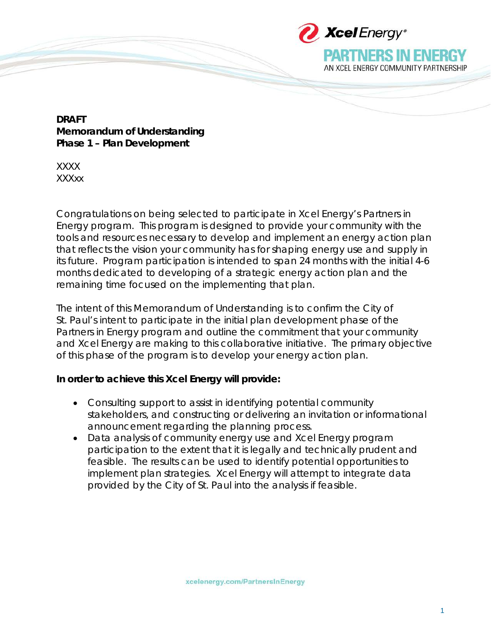

PARTNERS IN ENFI

AN XCEL ENERGY COMMUNITY PARTNERSHIP

**DRAFT Memorandum of Understanding Phase 1 – Plan Development**

XXXX XXXxx

Congratulations on being selected to participate in Xcel Energy's Partners in Energy program. This program is designed to provide your community with the tools and resources necessary to develop and implement an energy action plan that reflects the vision your community has for shaping energy use and supply in its future. Program participation is intended to span 24 months with the initial 4-6 months dedicated to developing of a strategic energy action plan and the remaining time focused on the implementing that plan.

The intent of this Memorandum of Understanding is to confirm the City of St. Paul's intent to participate in the initial plan development phase of the Partners in Energy program and outline the commitment that your community and Xcel Energy are making to this collaborative initiative. The primary objective of this phase of the program is to develop your energy action plan.

## **In order to achieve this Xcel Energy will provide:**

- Consulting support to assist in identifying potential community stakeholders, and constructing or delivering an invitation or informational announcement regarding the planning process.
- Data analysis of community energy use and Xcel Energy program participation to the extent that it is legally and technically prudent and feasible. The results can be used to identify potential opportunities to implement plan strategies. Xcel Energy will attempt to integrate data provided by the City of St. Paul into the analysis if feasible.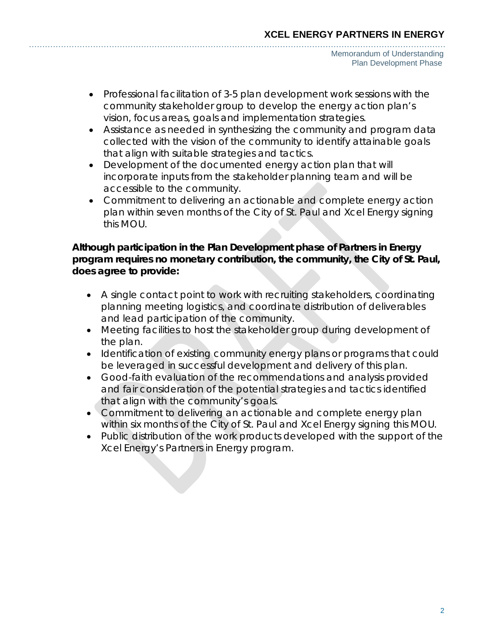- Professional facilitation of 3-5 plan development work sessions with the community stakeholder group to develop the energy action plan's vision, focus areas, goals and implementation strategies.
- Assistance as needed in synthesizing the community and program data collected with the vision of the community to identify attainable goals that align with suitable strategies and tactics.
- Development of the documented energy action plan that will incorporate inputs from the stakeholder planning team and will be accessible to the community.
- Commitment to delivering an actionable and complete energy action plan within seven months of the City of St. Paul and Xcel Energy signing this MOU.

## **Although participation in the Plan Development phase of Partners in Energy program requires no monetary contribution, the community, the City of St. Paul, does agree to provide:**

- A single contact point to work with recruiting stakeholders, coordinating planning meeting logistics, and coordinate distribution of deliverables and lead participation of the community.
- Meeting facilities to host the stakeholder group during development of the plan.
- Identification of existing community energy plans or programs that could be leveraged in successful development and delivery of this plan.
- Good-faith evaluation of the recommendations and analysis provided and fair consideration of the potential strategies and tactics identified that align with the community's goals.
- Commitment to delivering an actionable and complete energy plan within six months of the City of St. Paul and Xcel Energy signing this MOU.
- Public distribution of the work products developed with the support of the Xcel Energy's Partners in Energy program.